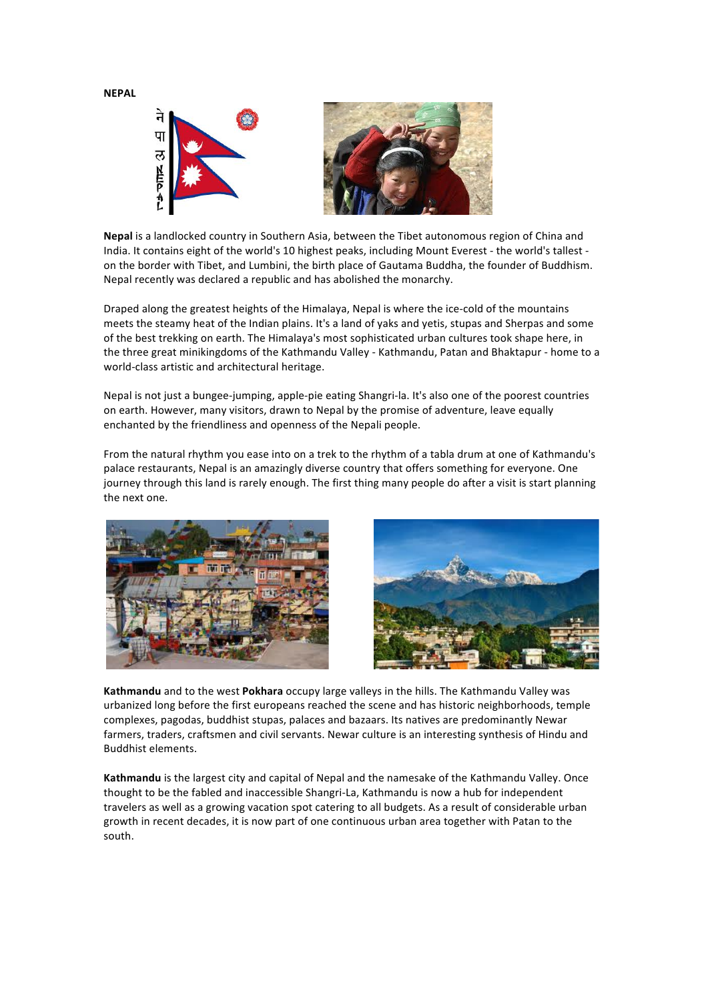**NEPAL**



Nepal is a landlocked country in Southern Asia, between the Tibet autonomous region of China and India. It contains eight of the world's 10 highest peaks, including Mount Everest - the world's tallest on the border with Tibet, and Lumbini, the birth place of Gautama Buddha, the founder of Buddhism. Nepal recently was declared a republic and has abolished the monarchy.

Draped along the greatest heights of the Himalaya, Nepal is where the ice-cold of the mountains meets the steamy heat of the Indian plains. It's a land of yaks and yetis, stupas and Sherpas and some of the best trekking on earth. The Himalaya's most sophisticated urban cultures took shape here, in the three great minikingdoms of the Kathmandu Valley - Kathmandu, Patan and Bhaktapur - home to a world-class artistic and architectural heritage.

Nepal is not just a bungee-jumping, apple-pie eating Shangri-la. It's also one of the poorest countries on earth. However, many visitors, drawn to Nepal by the promise of adventure, leave equally enchanted by the friendliness and openness of the Nepali people.

From the natural rhythm you ease into on a trek to the rhythm of a tabla drum at one of Kathmandu's palace restaurants, Nepal is an amazingly diverse country that offers something for everyone. One journey through this land is rarely enough. The first thing many people do after a visit is start planning the next one.





Kathmandu and to the west Pokhara occupy large valleys in the hills. The Kathmandu Valley was urbanized long before the first europeans reached the scene and has historic neighborhoods, temple complexes, pagodas, buddhist stupas, palaces and bazaars. Its natives are predominantly Newar farmers, traders, craftsmen and civil servants. Newar culture is an interesting synthesis of Hindu and Buddhist elements.

Kathmandu is the largest city and capital of Nepal and the namesake of the Kathmandu Valley. Once thought to be the fabled and inaccessible Shangri-La, Kathmandu is now a hub for independent travelers as well as a growing vacation spot catering to all budgets. As a result of considerable urban growth in recent decades, it is now part of one continuous urban area together with Patan to the south.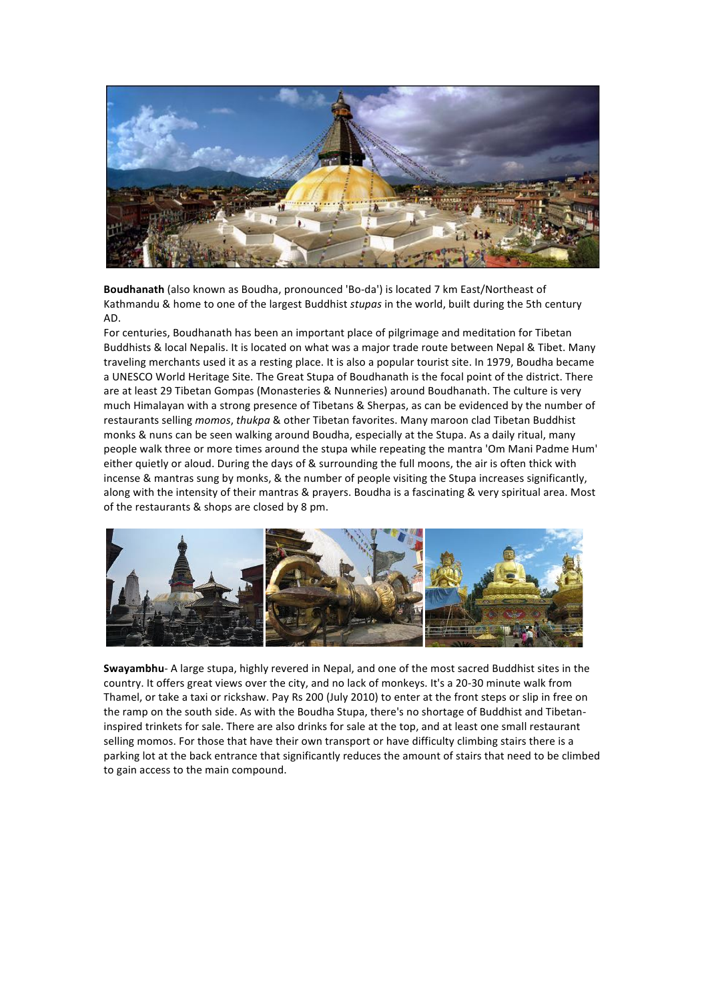

Boudhanath (also known as Boudha, pronounced 'Bo-da') is located 7 km East/Northeast of Kathmandu & home to one of the largest Buddhist *stupas* in the world, built during the 5th century AD.

For centuries, Boudhanath has been an important place of pilgrimage and meditation for Tibetan Buddhists & local Nepalis. It is located on what was a major trade route between Nepal & Tibet. Many traveling merchants used it as a resting place. It is also a popular tourist site. In 1979, Boudha became a UNESCO World Heritage Site. The Great Stupa of Boudhanath is the focal point of the district. There are at least 29 Tibetan Gompas (Monasteries & Nunneries) around Boudhanath. The culture is very much Himalayan with a strong presence of Tibetans & Sherpas, as can be evidenced by the number of restaurants selling *momos*, *thukpa* & other Tibetan favorites. Many maroon clad Tibetan Buddhist monks & nuns can be seen walking around Boudha, especially at the Stupa. As a daily ritual, many people walk three or more times around the stupa while repeating the mantra 'Om Mani Padme Hum' either quietly or aloud. During the days of & surrounding the full moons, the air is often thick with incense & mantras sung by monks, & the number of people visiting the Stupa increases significantly, along with the intensity of their mantras & prayers. Boudha is a fascinating & very spiritual area. Most of the restaurants & shops are closed by 8 pm.



**Swayambhu**- A large stupa, highly revered in Nepal, and one of the most sacred Buddhist sites in the country. It offers great views over the city, and no lack of monkeys. It's a 20-30 minute walk from Thamel, or take a taxi or rickshaw. Pay Rs 200 (July 2010) to enter at the front steps or slip in free on the ramp on the south side. As with the Boudha Stupa, there's no shortage of Buddhist and Tibetaninspired trinkets for sale. There are also drinks for sale at the top, and at least one small restaurant selling momos. For those that have their own transport or have difficulty climbing stairs there is a parking lot at the back entrance that significantly reduces the amount of stairs that need to be climbed to gain access to the main compound.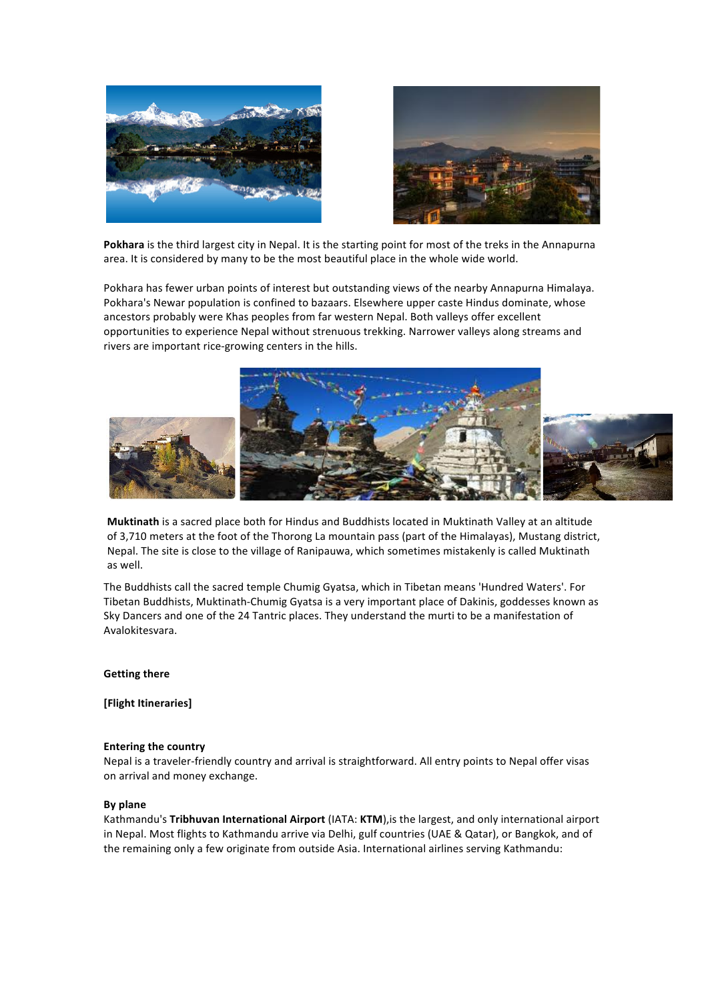



Pokhara is the third largest city in Nepal. It is the starting point for most of the treks in the Annapurna area. It is considered by many to be the most beautiful place in the whole wide world.

Pokhara has fewer urban points of interest but outstanding views of the nearby Annapurna Himalaya. Pokhara's Newar population is confined to bazaars. Elsewhere upper caste Hindus dominate, whose ancestors probably were Khas peoples from far western Nepal. Both valleys offer excellent opportunities to experience Nepal without strenuous trekking. Narrower valleys along streams and rivers are important rice-growing centers in the hills.



**Muktinath** is a sacred place both for Hindus and Buddhists located in Muktinath Valley at an altitude of 3,710 meters at the foot of the Thorong La mountain pass (part of the Himalayas), Mustang district, Nepal. The site is close to the village of Ranipauwa, which sometimes mistakenly is called Muktinath as well.

The Buddhists call the sacred temple Chumig Gyatsa, which in Tibetan means 'Hundred Waters'. For Tibetan Buddhists, Muktinath-Chumig Gyatsa is a very important place of Dakinis, goddesses known as Sky Dancers and one of the 24 Tantric places. They understand the murti to be a manifestation of Avalokitesvara.

### **Getting there**

[Flight Itineraries]

### **Entering the country**

Nepal is a traveler-friendly country and arrival is straightforward. All entry points to Nepal offer visas on arrival and money exchange.

#### **By plane**

Kathmandu's **Tribhuvan International Airport** (IATA: KTM), is the largest, and only international airport in Nepal. Most flights to Kathmandu arrive via Delhi, gulf countries (UAE & Qatar), or Bangkok, and of the remaining only a few originate from outside Asia. International airlines serving Kathmandu: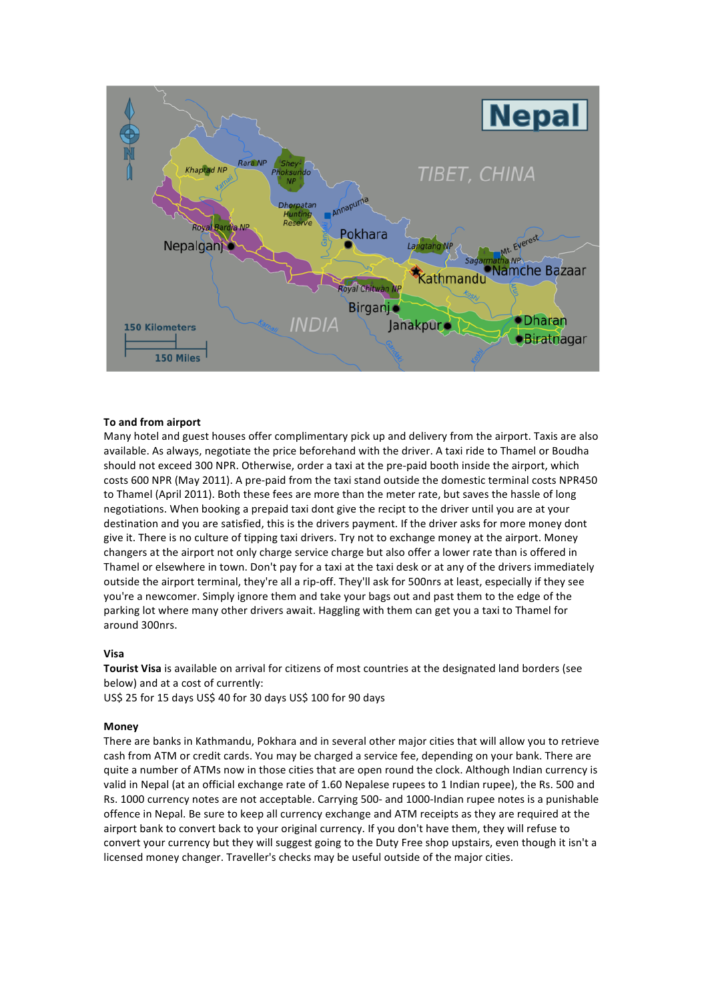

# **To and from airport**

Many hotel and guest houses offer complimentary pick up and delivery from the airport. Taxis are also available. As always, negotiate the price beforehand with the driver. A taxi ride to Thamel or Boudha should not exceed 300 NPR. Otherwise, order a taxi at the pre-paid booth inside the airport, which costs 600 NPR (May 2011). A pre-paid from the taxi stand outside the domestic terminal costs NPR450 to Thamel (April 2011). Both these fees are more than the meter rate, but saves the hassle of long negotiations. When booking a prepaid taxi dont give the recipt to the driver until you are at your destination and you are satisfied, this is the drivers payment. If the driver asks for more money dont give it. There is no culture of tipping taxi drivers. Try not to exchange money at the airport. Money changers at the airport not only charge service charge but also offer a lower rate than is offered in Thamel or elsewhere in town. Don't pay for a taxi at the taxi desk or at any of the drivers immediately outside the airport terminal, they're all a rip-off. They'll ask for 500nrs at least, especially if they see you're a newcomer. Simply ignore them and take your bags out and past them to the edge of the parking lot where many other drivers await. Haggling with them can get you a taxi to Thamel for around 300nrs.

### **Visa**

Tourist Visa is available on arrival for citizens of most countries at the designated land borders (see below) and at a cost of currently:

US\$ 25 for 15 days US\$ 40 for 30 days US\$ 100 for 90 days

### **Money**

There are banks in Kathmandu, Pokhara and in several other major cities that will allow you to retrieve cash from ATM or credit cards. You may be charged a service fee, depending on your bank. There are quite a number of ATMs now in those cities that are open round the clock. Although Indian currency is valid in Nepal (at an official exchange rate of 1.60 Nepalese rupees to 1 Indian rupee), the Rs. 500 and Rs. 1000 currency notes are not acceptable. Carrying 500- and 1000-Indian rupee notes is a punishable offence in Nepal. Be sure to keep all currency exchange and ATM receipts as they are required at the airport bank to convert back to your original currency. If you don't have them, they will refuse to convert your currency but they will suggest going to the Duty Free shop upstairs, even though it isn't a licensed money changer. Traveller's checks may be useful outside of the major cities.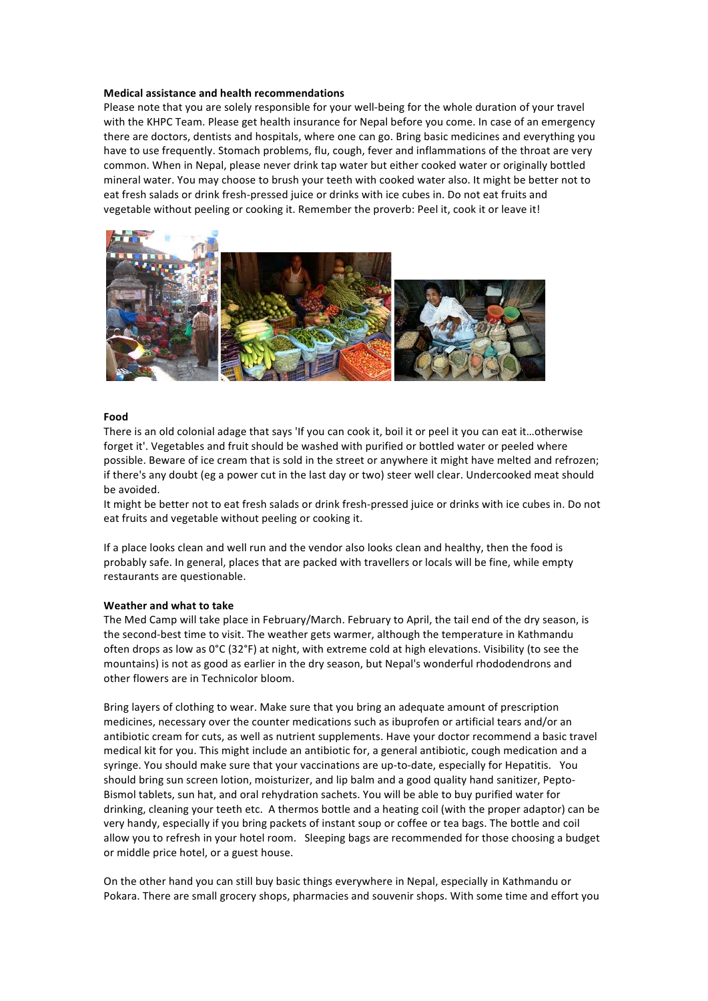### **Medical assistance and health recommendations**

Please note that you are solely responsible for your well-being for the whole duration of your travel with the KHPC Team. Please get health insurance for Nepal before you come. In case of an emergency there are doctors, dentists and hospitals, where one can go. Bring basic medicines and everything you have to use frequently. Stomach problems, flu, cough, fever and inflammations of the throat are very common. When in Nepal, please never drink tap water but either cooked water or originally bottled mineral water. You may choose to brush your teeth with cooked water also. It might be better not to eat fresh salads or drink fresh-pressed juice or drinks with ice cubes in. Do not eat fruits and vegetable without peeling or cooking it. Remember the proverb: Peel it, cook it or leave it!



### **Food**

There is an old colonial adage that says 'If you can cook it, boil it or peel it you can eat it...otherwise forget it'. Vegetables and fruit should be washed with purified or bottled water or peeled where possible. Beware of ice cream that is sold in the street or anywhere it might have melted and refrozen; if there's any doubt (eg a power cut in the last day or two) steer well clear. Undercooked meat should be avoided.

It might be better not to eat fresh salads or drink fresh-pressed juice or drinks with ice cubes in. Do not eat fruits and vegetable without peeling or cooking it.

If a place looks clean and well run and the vendor also looks clean and healthy, then the food is probably safe. In general, places that are packed with travellers or locals will be fine, while empty restaurants are questionable.

### **Weather and what to take**

The Med Camp will take place in February/March. February to April, the tail end of the dry season, is the second-best time to visit. The weather gets warmer, although the temperature in Kathmandu often drops as low as  $0^{\circ}C(32^{\circ}F)$  at night, with extreme cold at high elevations. Visibility (to see the mountains) is not as good as earlier in the dry season, but Nepal's wonderful rhododendrons and other flowers are in Technicolor bloom.

Bring layers of clothing to wear. Make sure that you bring an adequate amount of prescription medicines, necessary over the counter medications such as ibuprofen or artificial tears and/or an antibiotic cream for cuts, as well as nutrient supplements. Have your doctor recommend a basic travel medical kit for you. This might include an antibiotic for, a general antibiotic, cough medication and a syringe. You should make sure that your vaccinations are up-to-date, especially for Hepatitis. You should bring sun screen lotion, moisturizer, and lip balm and a good quality hand sanitizer, Pepto-Bismol tablets, sun hat, and oral rehydration sachets. You will be able to buy purified water for drinking, cleaning your teeth etc. A thermos bottle and a heating coil (with the proper adaptor) can be very handy, especially if you bring packets of instant soup or coffee or tea bags. The bottle and coil allow you to refresh in your hotel room. Sleeping bags are recommended for those choosing a budget or middle price hotel, or a guest house.

On the other hand you can still buy basic things everywhere in Nepal, especially in Kathmandu or Pokara. There are small grocery shops, pharmacies and souvenir shops. With some time and effort you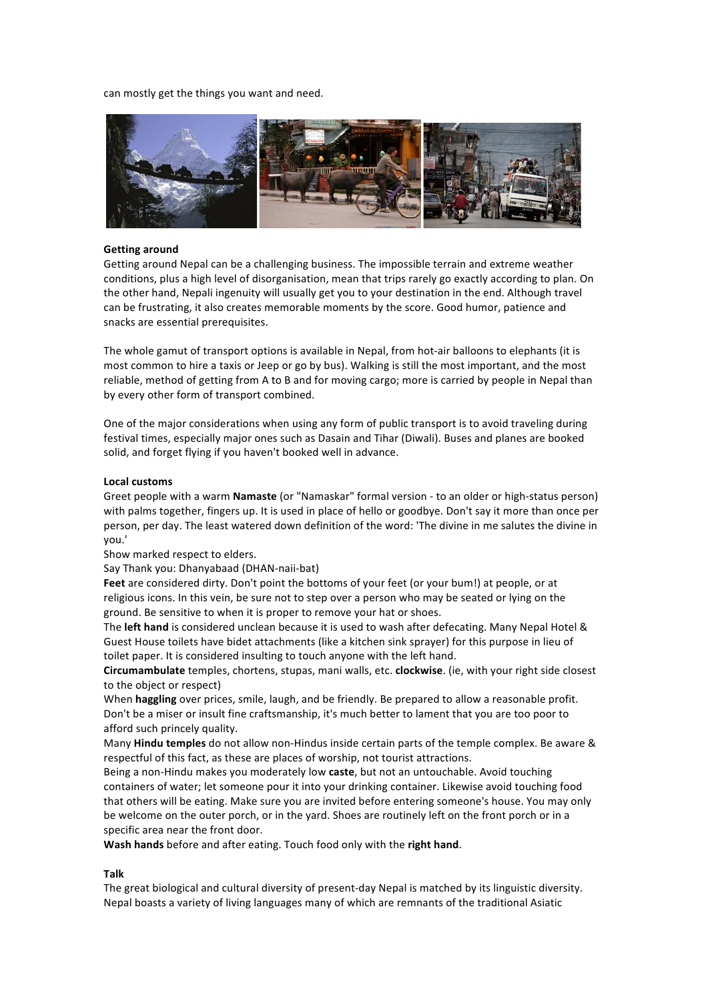can mostly get the things you want and need.



#### **Getting around**

Getting around Nepal can be a challenging business. The impossible terrain and extreme weather conditions, plus a high level of disorganisation, mean that trips rarely go exactly according to plan. On the other hand, Nepali ingenuity will usually get you to your destination in the end. Although travel can be frustrating, it also creates memorable moments by the score. Good humor, patience and snacks are essential prerequisites.

The whole gamut of transport options is available in Nepal, from hot-air balloons to elephants (it is most common to hire a taxis or Jeep or go by bus). Walking is still the most important, and the most reliable, method of getting from A to B and for moving cargo; more is carried by people in Nepal than by every other form of transport combined.

One of the major considerations when using any form of public transport is to avoid traveling during festival times, especially major ones such as Dasain and Tihar (Diwali). Buses and planes are booked solid, and forget flying if you haven't booked well in advance.

#### **Local customs**

Greet people with a warm **Namaste** (or "Namaskar" formal version - to an older or high-status person) with palms together, fingers up. It is used in place of hello or goodbye. Don't say it more than once per person, per day. The least watered down definition of the word: 'The divine in me salutes the divine in you.'

Show marked respect to elders.

Say Thank you: Dhanyabaad (DHAN-naii-bat)

Feet are considered dirty. Don't point the bottoms of your feet (or your bum!) at people, or at religious icons. In this vein, be sure not to step over a person who may be seated or lying on the ground. Be sensitive to when it is proper to remove your hat or shoes.

The left hand is considered unclean because it is used to wash after defecating. Many Nepal Hotel & Guest House toilets have bidet attachments (like a kitchen sink sprayer) for this purpose in lieu of toilet paper. It is considered insulting to touch anyone with the left hand.

**Circumambulate** temples, chortens, stupas, mani walls, etc. **clockwise**. (ie, with your right side closest to the object or respect)

When **haggling** over prices, smile, laugh, and be friendly. Be prepared to allow a reasonable profit. Don't be a miser or insult fine craftsmanship, it's much better to lament that you are too poor to afford such princely quality.

Many **Hindu temples** do not allow non-Hindus inside certain parts of the temple complex. Be aware & respectful of this fact, as these are places of worship, not tourist attractions.

Being a non-Hindu makes you moderately low **caste**, but not an untouchable. Avoid touching containers of water; let someone pour it into your drinking container. Likewise avoid touching food that others will be eating. Make sure you are invited before entering someone's house. You may only be welcome on the outer porch, or in the yard. Shoes are routinely left on the front porch or in a specific area near the front door.

Wash hands before and after eating. Touch food only with the right hand.

# **Talk**

The great biological and cultural diversity of present-day Nepal is matched by its linguistic diversity. Nepal boasts a variety of living languages many of which are remnants of the traditional Asiatic